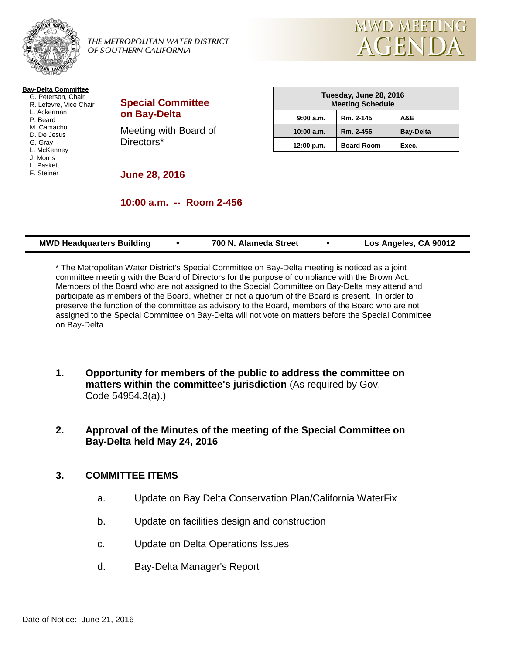

THE METROPOLITAN WATER DISTRICT OF SOUTHERN CALIFORNIA



#### **Bay-Delta Committee**

- G. Peterson, Chair R. Lefevre, Vice Chair L. Ackerman
- P. Beard M. Camacho
- 
- D. De Jesus
- G. Gray
- L. McKenney J. Morris
- L. Paskett
- F. Steiner

# **Special Committee on Bay-Delta**

Meeting with Board of Directors\*

| Tuesday, June 28, 2016<br><b>Meeting Schedule</b> |                   |                  |  |  |
|---------------------------------------------------|-------------------|------------------|--|--|
| 9:00 a.m.                                         | Rm. 2-145         | A&E              |  |  |
| 10:00 a.m.                                        | Rm. 2-456         | <b>Bay-Delta</b> |  |  |
| 12:00 p.m.                                        | <b>Board Room</b> | Exec.            |  |  |

**June 28, 2016**

# **10:00 a.m. -- Room 2-456**

| <b>MWD Headquarters Building</b> | 700 N. Alameda Street | Los Angeles, CA 90012 |
|----------------------------------|-----------------------|-----------------------|
|                                  |                       |                       |

\* The Metropolitan Water District's Special Committee on Bay-Delta meeting is noticed as a joint committee meeting with the Board of Directors for the purpose of compliance with the Brown Act. Members of the Board who are not assigned to the Special Committee on Bay-Delta may attend and participate as members of the Board, whether or not a quorum of the Board is present. In order to preserve the function of the committee as advisory to the Board, members of the Board who are not assigned to the Special Committee on Bay-Delta will not vote on matters before the Special Committee on Bay-Delta.

- **1. Opportunity for members of the public to address the committee on matters within the committee's jurisdiction** (As required by Gov. Code 54954.3(a).)
- **2. Approval of the Minutes of the meeting of the Special Committee on Bay-Delta held May 24, 2016**

# **3. COMMITTEE ITEMS**

- a. Update on Bay Delta Conservation Plan/California WaterFix
- b. Update on facilities design and construction
- c. Update on Delta Operations Issues
- d. Bay-Delta Manager's Report